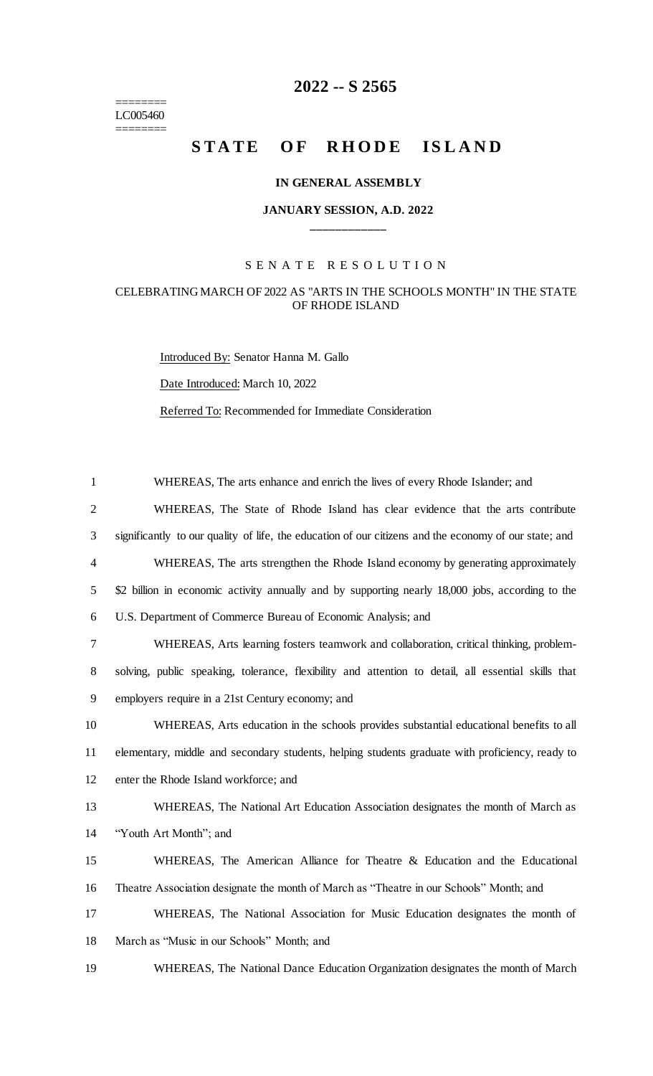======== LC005460 ========

# **2022 -- S 2565**

# **STATE OF RHODE ISLAND**

#### **IN GENERAL ASSEMBLY**

### **JANUARY SESSION, A.D. 2022 \_\_\_\_\_\_\_\_\_\_\_\_**

#### S E N A T E R E S O L U T I O N

## CELEBRATING MARCH OF 2022 AS "ARTS IN THE SCHOOLS MONTH" IN THE STATE OF RHODE ISLAND

Introduced By: Senator Hanna M. Gallo Date Introduced: March 10, 2022 Referred To: Recommended for Immediate Consideration

 WHEREAS, The arts enhance and enrich the lives of every Rhode Islander; and WHEREAS, The State of Rhode Island has clear evidence that the arts contribute significantly to our quality of life, the education of our citizens and the economy of our state; and WHEREAS, The arts strengthen the Rhode Island economy by generating approximately 5 \$2 billion in economic activity annually and by supporting nearly 18,000 jobs, according to the U.S. Department of Commerce Bureau of Economic Analysis; and WHEREAS, Arts learning fosters teamwork and collaboration, critical thinking, problem- solving, public speaking, tolerance, flexibility and attention to detail, all essential skills that employers require in a 21st Century economy; and WHEREAS, Arts education in the schools provides substantial educational benefits to all elementary, middle and secondary students, helping students graduate with proficiency, ready to enter the Rhode Island workforce; and WHEREAS, The National Art Education Association designates the month of March as "Youth Art Month"; and WHEREAS, The American Alliance for Theatre & Education and the Educational Theatre Association designate the month of March as "Theatre in our Schools" Month; and WHEREAS, The National Association for Music Education designates the month of March as "Music in our Schools" Month; and WHEREAS, The National Dance Education Organization designates the month of March